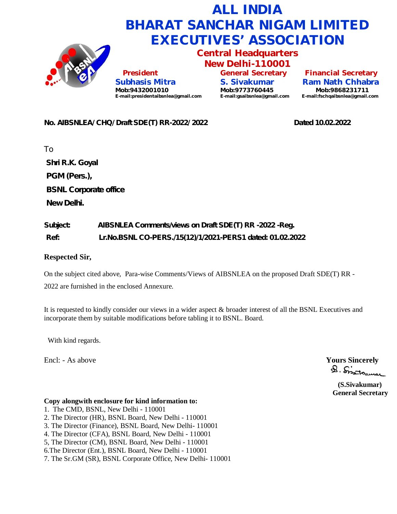

#### **No. AIBSNLEA/ CHQ/ Draft SDE(T) RR-2022/ 2022 Dated 10.02.2022**

To **Shri R.K. Goyal PGM (Pers.), BSNL Corporate office New Delhi.**

# **Subject: AIBSNLEA Comments/views on Draft SDE(T) RR -2022 -Reg. Ref: Lr.No.BSNL CO-PERS./15(12)/1/2021-PERS1 dated: 01.02.2022**

#### **Respected Sir,**

On the subject cited above, Para-wise Comments/Views of AIBSNLEA on the proposed Draft SDE(T) RR -

2022 are furnished in the enclosed Annexure.

It is requested to kindly consider our views in a wider aspect & broader interest of all the BSNL Executives and incorporate them by suitable modifications before tabling it to BSNL. Board.

With kind regards.

Encl: - As above **Yours** Sincerely **Sincerely**<br> **A** Sincerely

 **(S.Sivakumar) General Secretary**

#### **Copy alongwith enclosure for kind information to:**

- 1. The CMD, BSNL, New Delhi 110001
- 2. The Director (HR), BSNL Board, New Delhi 110001
- 3. The Director (Finance), BSNL Board, New Delhi- 110001
- 4. The Director (CFA), BSNL Board, New Delhi 110001
- 5, The Director (CM), BSNL Board, New Delhi 110001
- 6.The Director (Ent.), BSNL Board, New Delhi 110001
- 7. The Sr.GM (SR), BSNL Corporate Office, New Delhi- 110001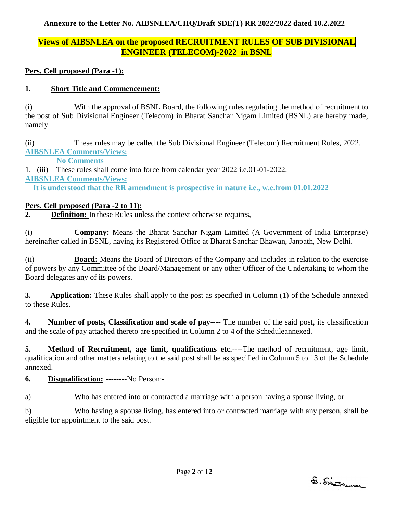## **Annexure to the Letter No. AIBSNLEA/CHQ/Draft SDE(T) RR 2022/2022 dated 10.2.2022**

# **Views of AIBSNLEA on the proposed RECRUITMENT RULES OF SUB DIVISIONAL ENGINEER (TELECOM)-2022 in BSNL**

**Pers. Cell proposed (Para -1):**

### **1. Short Title and Commencement:**

(i) With the approval of BSNL Board, the following rules regulating the method of recruitment to the post of Sub Divisional Engineer (Telecom) in Bharat Sanchar Nigam Limited (BSNL) are hereby made, namely

(ii) These rules may be called the Sub Divisional Engineer (Telecom) Recruitment Rules, 2022. **AIBSNLEA Comments/Views:**

 **No Comments**

1. (iii) These rules shall come into force from calendar year 2022 i.e.01-01-2022.

**AIBSNLEA Comments/Views:**

 **It is understood that the RR amendment is prospective in nature i.e., w.e.from 01.01.2022**

### **Pers. Cell proposed (Para -2 to 11):**

**2. Definition:** In these Rules unless the context otherwise requires,

(i) **Company:** Means the Bharat Sanchar Nigam Limited (A Government of India Enterprise) hereinafter called in BSNL, having its Registered Office at Bharat Sanchar Bhawan, Janpath, New Delhi.

(ii) **Board:** Means the Board of Directors of the Company and includes in relation to the exercise of powers by any Committee of the Board/Management or any other Officer of the Undertaking to whom the Board delegates any of its powers.

**3. Application:** These Rules shall apply to the post as specified in Column (1) of the Schedule annexed to these Rules.

**4. Number of posts, Classification and scale of pay**---- The number of the said post, its classification and the scale of pay attached thereto are specified in Column 2 to 4 of the Scheduleannexed.

**5. Method of Recruitment, age limit, qualifications etc.**——The method of recruitment, age limit, qualification and other matters relating to the said post shall be as specified in Column 5 to 13 of the Schedule annexed.

### **6. Disqualification: --------**No Person:-

a) Who has entered into or contracted a marriage with a person having a spouse living, or

b) Who having a spouse living, has entered into or contracted marriage with any person, shall be eligible for appointment to the said post.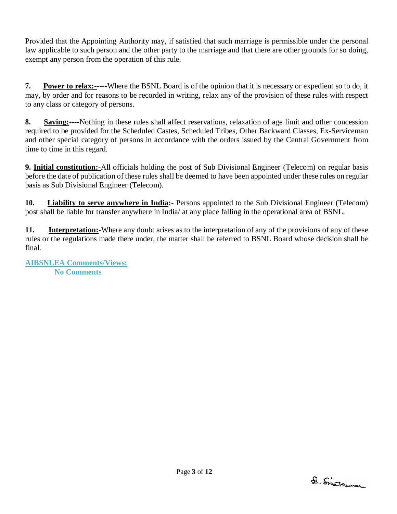Provided that the Appointing Authority may, if satisfied that such marriage is permissible under the personal law applicable to such person and the other party to the marriage and that there are other grounds for so doing, exempt any person from the operation of this rule.

**7. Power to relax:-**----Where the BSNL Board is of the opinion that it is necessary or expedient so to do, it may, by order and for reasons to be recorded in writing, relax any of the provision of these rules with respect to any class or category of persons.

**8. Saving:**----Nothing in these rules shall affect reservations, relaxation of age limit and other concession required to be provided for the Scheduled Castes, Scheduled Tribes, Other Backward Classes, Ex-Serviceman and other special category of persons in accordance with the orders issued by the Central Government from time to time in this regard.

**9. Initial constitution:-**All officials holding the post of Sub Divisional Engineer (Telecom) on regular basis before the date of publication of these rules shall be deemed to have been appointed under these rules on regular basis as Sub Divisional Engineer (Telecom).

**10. Liability to serve anywhere in India:-** Persons appointed to the Sub Divisional Engineer (Telecom) post shall be liable for transfer anywhere in India/ at any place falling in the operational area of BSNL.

**11. Interpretation:-**Where any doubt arises as to the interpretation of any of the provisions of any of these rules or the regulations made there under, the matter shall be referred to BSNL Board whose decision shall be final.

**AIBSNLEA Comments/Views: No Comments**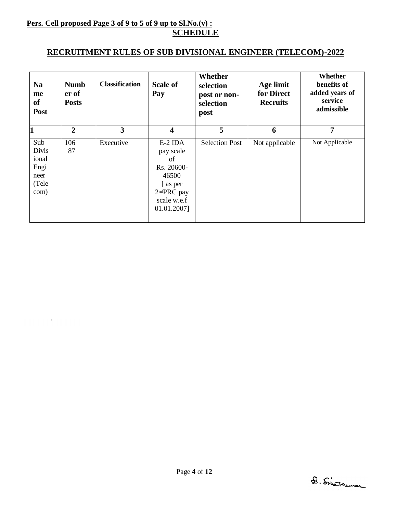### **Pers. Cell proposed Page 3 of 9 to 5 of 9 up to Sl.No.(v) : SCHEDULE**

 $\bar{\tau}$ 

### **RECRUITMENT RULES OF SUB DIVISIONAL ENGINEER (TELECOM)-2022**

| <b>Na</b><br>me<br>of<br><b>Post</b>                          | <b>Numb</b><br>er of<br><b>Posts</b> | <b>Classification</b> | <b>Scale of</b><br>Pay                                                                                                  | Whether<br>selection<br>post or non-<br>selection<br>post | Age limit<br>for Direct<br><b>Recruits</b> | Whether<br>benefits of<br>added years of<br>service<br>admissible |
|---------------------------------------------------------------|--------------------------------------|-----------------------|-------------------------------------------------------------------------------------------------------------------------|-----------------------------------------------------------|--------------------------------------------|-------------------------------------------------------------------|
| 1                                                             | $\overline{2}$                       | 3                     | $\overline{\mathbf{4}}$                                                                                                 | 5                                                         | 6                                          | 7                                                                 |
| Sub<br><b>Divis</b><br>ional<br>Engi<br>neer<br>(Tele<br>com) | 106<br>87                            | Executive             | $E-2$ IDA<br>pay scale<br>of<br>Rs. 20600-<br>46500<br>[as per<br>2 <sup>nd</sup> PRC pay<br>scale w.e.f<br>01.01.2007] | <b>Selection Post</b>                                     | Not applicable                             | Not Applicable                                                    |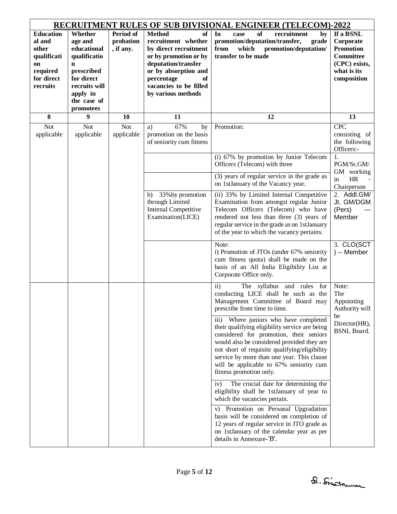| <b>RECRUITMENT RULES OF SUB DIVISIONAL ENGINEER (TELECOM)-2022</b>                             |                                                                                                                                                       |                                     |                                                                                                                                                                                                                 |                                                                                                                                                                                                                                                                                                                                                                      |                                                                                                               |  |  |  |  |
|------------------------------------------------------------------------------------------------|-------------------------------------------------------------------------------------------------------------------------------------------------------|-------------------------------------|-----------------------------------------------------------------------------------------------------------------------------------------------------------------------------------------------------------------|----------------------------------------------------------------------------------------------------------------------------------------------------------------------------------------------------------------------------------------------------------------------------------------------------------------------------------------------------------------------|---------------------------------------------------------------------------------------------------------------|--|--|--|--|
| <b>Education</b><br>al and<br>other<br>qualificati<br>on<br>required<br>for direct<br>recruits | Whether<br>age and<br>educational<br>qualificatio<br>$\mathbf n$<br>prescribed<br>for direct<br>recruits will<br>apply in<br>the case of<br>promotees | Period of<br>probation<br>, if any. | <b>Method</b><br>of<br>recruitment whether<br>by direct recruitment<br>or by promotion or by<br>deputation/transfer<br>or by absorption and<br>percentage<br>of<br>vacancies to be filled<br>by various methods | In<br><b>of</b><br>recruitment<br>case<br>by<br>promotion/deputation/transfer,<br>grade<br>which<br>promotion/deputation/<br>from<br>transfer to be made                                                                                                                                                                                                             | If a BSNL<br>Corporate<br><b>Promotion</b><br><b>Committee</b><br>(CPC) exists,<br>what is its<br>composition |  |  |  |  |
| 8                                                                                              | 9                                                                                                                                                     | 10                                  | 11                                                                                                                                                                                                              | 12                                                                                                                                                                                                                                                                                                                                                                   | 13                                                                                                            |  |  |  |  |
| <b>Not</b><br>applicable                                                                       | <b>Not</b><br>applicable                                                                                                                              | <b>Not</b><br>applicable            | 67%<br>a)<br>by<br>promotion on the basis<br>of seniority cum fitness                                                                                                                                           | Promotion:                                                                                                                                                                                                                                                                                                                                                           | <b>CPC</b><br>consisting of<br>the following<br>Officers:-                                                    |  |  |  |  |
|                                                                                                |                                                                                                                                                       |                                     |                                                                                                                                                                                                                 | (i) 67% by promotion by Junior Telecom<br>Officers (Telecom) with three                                                                                                                                                                                                                                                                                              | 1.<br>PGM/Sr.GM/                                                                                              |  |  |  |  |
|                                                                                                |                                                                                                                                                       |                                     |                                                                                                                                                                                                                 | (3) years of regular service in the grade as<br>on 1stJanuary of the Vacancy year.                                                                                                                                                                                                                                                                                   | GM working<br>HR<br>in<br>Chairperson                                                                         |  |  |  |  |
|                                                                                                |                                                                                                                                                       |                                     | 33% by promotion<br>b)<br>through Limited<br><b>Internal Competitive</b><br>Examination(LICE)                                                                                                                   | (ii) 33% by Limited Internal Competitive<br>Examination from amongst regular Junior<br>Telecom Officers (Telecom) who have<br>rendered not less than three (3) years of<br>regular service in the grade as on 1stJanuary<br>of the year to which the vacancy pertains.                                                                                               | 2. Addl.GM/<br>Jt. GM/DGM<br>(Pers)<br>Member                                                                 |  |  |  |  |
|                                                                                                |                                                                                                                                                       |                                     |                                                                                                                                                                                                                 | Note:<br>i) Promotion of JTOs (under 67% seniority<br>cum fitness quota) shall be made on the<br>basis of an All India Eligibility List at<br>Corporate Office only.                                                                                                                                                                                                 | 3. CLO(SCT<br>) -- Member                                                                                     |  |  |  |  |
|                                                                                                |                                                                                                                                                       |                                     |                                                                                                                                                                                                                 | The syllabus and rules for<br>$\mathbf{ii}$<br>conducting LICE shall be such as the<br>Management Committee of Board may<br>prescribe from time to time.                                                                                                                                                                                                             | Note:<br>The<br>Appointing<br>Authority will                                                                  |  |  |  |  |
|                                                                                                |                                                                                                                                                       |                                     |                                                                                                                                                                                                                 | Where juniors who have completed<br>$\overline{iii}$<br>their qualifying eligibility service are being<br>considered for promotion, their seniors<br>would also be considered provided they are<br>not short of requisite qualifying/eligibility<br>service by more than one year. This clause<br>will be applicable to 67% seniority cum<br>fitness promotion only. | be<br>Director(HR),<br><b>BSNL</b> Board.                                                                     |  |  |  |  |
|                                                                                                |                                                                                                                                                       |                                     |                                                                                                                                                                                                                 | The crucial date for determining the<br>iv)<br>eligibility shall be 1stJanuary of year to<br>which the vacancies pertain.                                                                                                                                                                                                                                            |                                                                                                               |  |  |  |  |
|                                                                                                |                                                                                                                                                       |                                     |                                                                                                                                                                                                                 | v) Promotion on Personal Upgradation<br>basis will be considered on completion of<br>12 years of regular service in JTO grade as<br>on 1stJanuary of the calendar year as per<br>details in Annexure-'B'.                                                                                                                                                            |                                                                                                               |  |  |  |  |

D. Sistrumar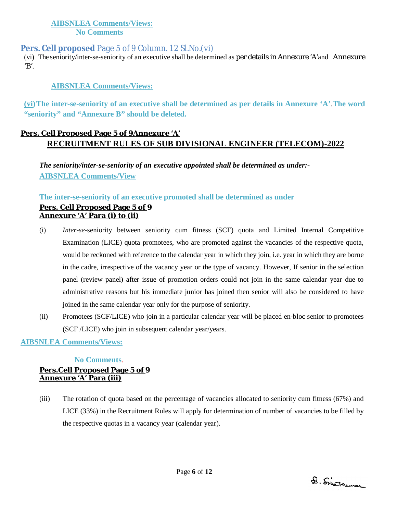### **AIBSNLEA Comments/Views: No Comments**

### **Pers. Cell proposed** Page 5 of 9 Column. 12 Sl.No.(vi)

(vi) The seniority/inter-se-seniority of an executive shall be determined as per details in Annexure 'A'and Annexure  $'B'$ .

#### **AIBSNLEA Comments/Views:**

**(vi)The inter-se-seniority of an executive shall be determined as per details in Annexure 'A'**.**The word "seniority" and "Annexure B" should be deleted.**

### **Pers. Cell Proposed Page 5 of 9Annexure 'A' RECRUITMENT RULES OF SUB DIVISIONAL ENGINEER (TELECOM)-2022**

*The seniority/inter-se-seniority of an executive appointed shall be determined as under:-* **AIBSNLEA Comments/View**

#### **The inter-se-seniority of an executive promoted shall be determined as under**

### **Pers. Cell Proposed Page 5 of 9 Annexure 'A' Para (i) to (ii)**

- (i) *Inter-se*-seniority between seniority cum fitness (SCF) quota and Limited Internal Competitive Examination (LICE) quota promotees, who are promoted against the vacancies of the respective quota, would be reckoned with reference to the calendar year in which they join, i.e. year in which they are borne in the cadre, irrespective of the vacancy year or the type of vacancy. However, If senior in the selection panel (review panel) after issue of promotion orders could not join in the same calendar year due to administrative reasons but his immediate junior has joined then senior will also be considered to have joined in the same calendar year only for the purpose of seniority.
- (ii) Promotees (SCF/LICE) who join in a particular calendar year will be placed en-bloc senior to promotees (SCF /LICE) who join in subsequent calendar year/years.

### **AIBSNLEA Comments/Views:**

#### **No Comments**.

#### **Pers.Cell Proposed Page 5 of 9 Annexure 'A' Para (iii)**

(iii) The rotation of quota based on the percentage of vacancies allocated to seniority cum fitness (67%) and LICE (33%) in the Recruitment Rules will apply for determination of number of vacancies to be filled by the respective quotas in a vacancy year (calendar year).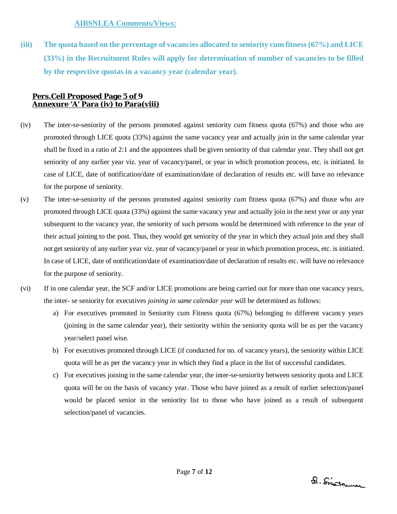**(iii) The quota based on the percentage of vacancies allocated to seniority cum fitness (67%) and LICE (33%) in the Recruitment Rules will apply for determination of number of vacancies to be filled by the respective quotas in a vacancy year (calendar year).**

### **Pers.Cell Proposed Page 5 of 9 Annexure 'A' Para (iv) to Para(viii)**

- (iv) The inter-se-seniority of the persons promoted against seniority cum fitness quota (67%) and those who are promoted through LICE quota (33%) against the same vacancy year and actually join in the same calendar year shall be fixed in a ratio of 2:1 and the appointees shall be given seniority of that calendar year. They shall not get seniority of any earlier year viz. year of vacancy/panel, or year in which promotion process, etc. is initiated. In case of LICE, date of notification/date of examination/date of declaration of results etc. will have no relevance for the purpose of seniority.
- (v) The inter-se-seniority of the persons promoted against seniority cum fitness quota (67%) and those who are promoted through LICE quota (33%) against the same vacancy year and actually join in the next year or any year subsequent to the vacancy year, the seniority of such persons would be determined with reference to the year of their actual joining to the post. Thus, they would get seniority of the year in which they actual join and they shall not get seniority of any earlier year viz. year of vacancy/panel or year in which promotion process, etc. is initiated. In case of LICE, date of notification/date of examination/date of declaration of results etc. will have no relevance for the purpose of seniority.
- (vi) If in one calendar year, the SCF and/or LICE promotions are being carried out for more than one vacancy years, the inter- se seniority for executives *joining in same calendar year* will be determined as follows:
	- a) For executives promoted in Seniority cum Fitness quota (67%) belonging to different vacancy years (joining in the same calendar year), their seniority within the seniority quota will be as per the vacancy year/select panel wise.
	- b) For executives promoted through LICE (if conducted for no. of vacancy years), the seniority within LICE quota will be as per the vacancy year in which they find a place in the list of successful candidates.
	- c) For executives joining in the same calendar year, the inter-se-seniority between seniority quota and LICE quota will be on the basis of vacancy year. Those who have joined as a result of earlier selection/panel would be placed senior in the seniority list to those who have joined as a result of subsequent selection/panel of vacancies.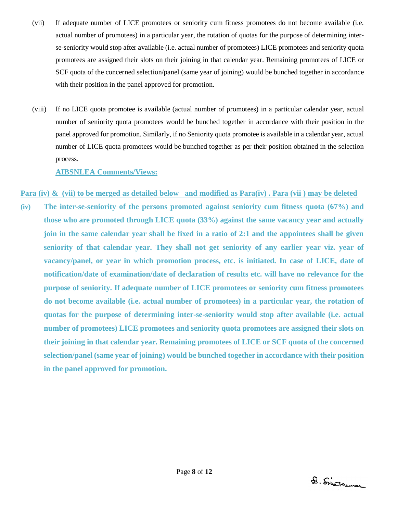- (vii) If adequate number of LICE promotees or seniority cum fitness promotees do not become available (i.e. actual number of promotees) in a particular year, the rotation of quotas for the purpose of determining interse-seniority would stop after available (i.e. actual number of promotees) LICE promotees and seniority quota promotees are assigned their slots on their joining in that calendar year. Remaining promotees of LICE or SCF quota of the concerned selection/panel (same year of joining) would be bunched together in accordance with their position in the panel approved for promotion.
- (viii) If no LICE quota promotee is available (actual number of promotees) in a particular calendar year, actual number of seniority quota promotees would be bunched together in accordance with their position in the panel approved for promotion. Similarly, if no Seniority quota promotee is available in a calendar year, actual number of LICE quota promotees would be bunched together as per their position obtained in the selection process.

#### **AIBSNLEA Comments/Views:**

#### **Para (iv) & (vii) to be merged as detailed below and modified as Para(iv) . Para (vii ) may be deleted**

**(iv) The inter-se-seniority of the persons promoted against seniority cum fitness quota (67%) and those who are promoted through LICE quota (33%) against the same vacancy year and actually join in the same calendar year shall be fixed in a ratio of 2:1 and the appointees shall be given seniority of that calendar year. They shall not get seniority of any earlier year viz. year of vacancy/panel, or year in which promotion process, etc. is initiated. In case of LICE, date of notification/date of examination/date of declaration of results etc. will have no relevance for the purpose of seniority. If adequate number of LICE promotees or seniority cum fitness promotees do not become available (i.e. actual number of promotees) in a particular year, the rotation of quotas for the purpose of determining inter-se-seniority would stop after available (i.e. actual number of promotees) LICE promotees and seniority quota promotees are assigned their slots on their joining in that calendar year. Remaining promotees of LICE or SCF quota of the concerned selection/panel (same year of joining) would be bunched together in accordance with their position in the panel approved for promotion.**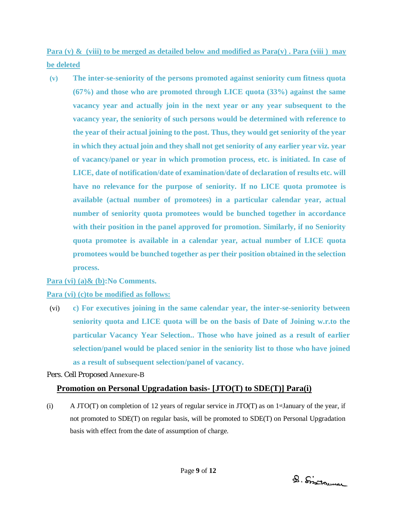**Para (v) & (viii) to be merged as detailed below and modified as Para(v) . Para (viii ) may be deleted**

**(v) The inter-se-seniority of the persons promoted against seniority cum fitness quota (67%) and those who are promoted through LICE quota (33%) against the same vacancy year and actually join in the next year or any year subsequent to the vacancy year, the seniority of such persons would be determined with reference to the year of their actual joining to the post. Thus, they would get seniority of the year in which they actual join and they shall not get seniority of any earlier year viz. year of vacancy/panel or year in which promotion process, etc. is initiated. In case of LICE, date of notification/date of examination/date of declaration of results etc. will have no relevance for the purpose of seniority. If no LICE quota promotee is available (actual number of promotees) in a particular calendar year, actual number of seniority quota promotees would be bunched together in accordance with their position in the panel approved for promotion. Similarly, if no Seniority quota promotee is available in a calendar year, actual number of LICE quota promotees would be bunched together as per their position obtained in the selection process.**

**Para (vi) (a)& (b):No Comments.**

**Para (vi) (c)to be modified as follows:** 

(vi) **c) For executives joining in the same calendar year, the inter-se-seniority between seniority quota and LICE quota will be on the basis of Date of Joining w.r.to the particular Vacancy Year Selection.. Those who have joined as a result of earlier selection/panel would be placed senior in the seniority list to those who have joined as a result of subsequent selection/panel of vacancy.**

Pers. Cell Proposed Annexure-B

# **Promotion on Personal Upgradation basis- [JTO(T) to SDE(T)] Para(i)**

(i) A JTO(T) on completion of 12 years of regular service in JTO(T) as on 1<sup>st</sup>January of the year, if not promoted to SDE(T) on regular basis, will be promoted to SDE(T) on Personal Upgradation basis with effect from the date of assumption of charge.

D. Sistrumar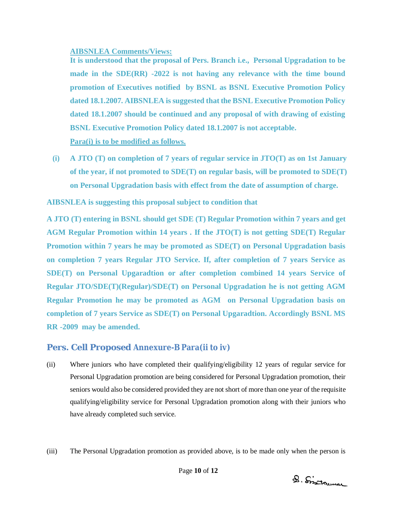#### **AIBSNLEA Comments/Views:**

**It is understood that the proposal of Pers. Branch i.e., Personal Upgradation to be made in the SDE(RR) -2022 is not having any relevance with the time bound promotion of Executives notified by BSNL as BSNL Executive Promotion Policy dated 18.1.2007. AIBSNLEA is suggested that the BSNL Executive Promotion Policy dated 18.1.2007 should be continued and any proposal of with drawing of existing BSNL Executive Promotion Policy dated 18.1.2007 is not acceptable. Para(i) is to be modified as follows.**

**(i) A JTO (T) on completion of 7 years of regular service in JTO(T) as on 1st January of the year, if not promoted to SDE(T) on regular basis, will be promoted to SDE(T) on Personal Upgradation basis with effect from the date of assumption of charge.**

**AIBSNLEA is suggesting this proposal subject to condition that** 

**A JTO (T) entering in BSNL should get SDE (T) Regular Promotion within 7 years and get AGM Regular Promotion within 14 years . If the JTO(T) is not getting SDE(T) Regular Promotion within 7 years he may be promoted as SDE(T) on Personal Upgradation basis on completion 7 years Regular JTO Service. If, after completion of 7 years Service as SDE(T) on Personal Upgaradtion or after completion combined 14 years Service of Regular JTO/SDE(T)(Regular)/SDE(T) on Personal Upgradation he is not getting AGM Regular Promotion he may be promoted as AGM on Personal Upgradation basis on completion of 7 years Service as SDE(T) on Personal Upgaradtion. Accordingly BSNL MS RR -2009 may be amended.**

# **Pers. Cell Proposed Annexure-B Para(ii to iv)**

- (ii) Where juniors who have completed their qualifying/eligibility 12 years of regular service for Personal Upgradation promotion are being considered for Personal Upgradation promotion, their seniors would also be considered provided they are not short of more than one year of the requisite qualifying/eligibility service for Personal Upgradation promotion along with their juniors who have already completed such service.
- (iii) The Personal Upgradation promotion as provided above, is to be made only when the person is

D. Sistrumar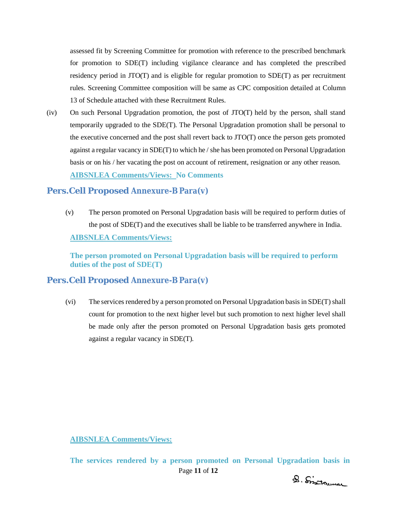assessed fit by Screening Committee for promotion with reference to the prescribed benchmark for promotion to SDE(T) including vigilance clearance and has completed the prescribed residency period in JTO(T) and is eligible for regular promotion to SDE(T) as per recruitment rules. Screening Committee composition will be same as CPC composition detailed at Column 13 of Schedule attached with these Recruitment Rules.

(iv) On such Personal Upgradation promotion, the post of JTO(T) held by the person, shall stand temporarily upgraded to the SDE(T). The Personal Upgradation promotion shall be personal to the executive concerned and the post shall revert back to JTO(T) once the person gets promoted against a regular vacancy in SDE(T) to which he / she has been promoted on Personal Upgradation basis or on his / her vacating the post on account of retirement, resignation or any other reason. **AIBSNLEA Comments/Views: No Comments**

### **Pers.Cell Proposed Annexure-B Para(v)**

(v) The person promoted on Personal Upgradation basis will be required to perform duties of the post of SDE(T) and the executives shall be liable to be transferred anywhere in India. **AIBSNLEA Comments/Views:**

**The person promoted on Personal Upgradation basis will be required to perform duties of the post of SDE(T)** 

### **Pers.Cell Proposed Annexure-B Para(v)**

(vi) The services rendered by a person promoted on Personal Upgradation basis in SDE(T) shall count for promotion to the next higher level but such promotion to next higher level shall be made only after the person promoted on Personal Upgradation basis gets promoted against a regular vacancy in SDE(T).

**AIBSNLEA Comments/Views:**

Page **11** of **12 The services rendered by a person promoted on Personal Upgradation basis in** 

D. Sistrumar